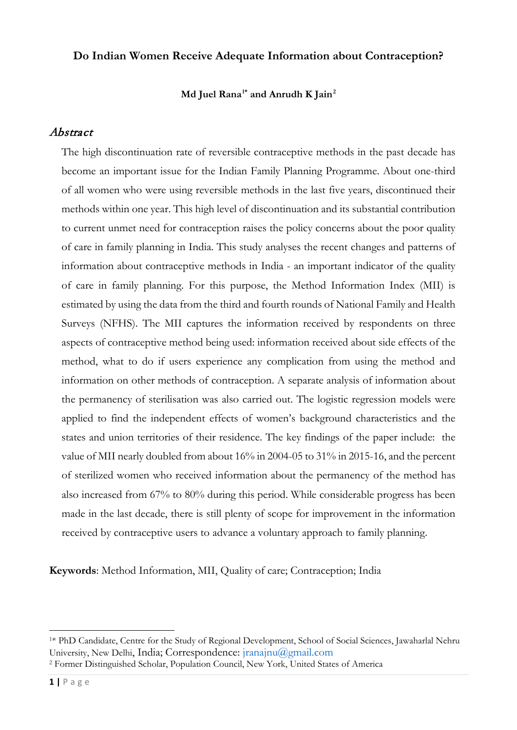### **Do Indian Women Receive Adequate Information about Contraception?**

### **Md Juel Rana[1\\*](#page-0-0) and Anrudh K Jain[2](#page-0-1)**

### Abstract

The high discontinuation rate of reversible contraceptive methods in the past decade has become an important issue for the Indian Family Planning Programme. About one-third of all women who were using reversible methods in the last five years, discontinued their methods within one year. This high level of discontinuation and its substantial contribution to current unmet need for contraception raises the policy concerns about the poor quality of care in family planning in India. This study analyses the recent changes and patterns of information about contraceptive methods in India - an important indicator of the quality of care in family planning. For this purpose, the Method Information Index (MII) is estimated by using the data from the third and fourth rounds of National Family and Health Surveys (NFHS). The MII captures the information received by respondents on three aspects of contraceptive method being used: information received about side effects of the method, what to do if users experience any complication from using the method and information on other methods of contraception. A separate analysis of information about the permanency of sterilisation was also carried out. The logistic regression models were applied to find the independent effects of women's background characteristics and the states and union territories of their residence. The key findings of the paper include: the value of MII nearly doubled from about 16% in 2004-05 to 31% in 2015-16, and the percent of sterilized women who received information about the permanency of the method has also increased from 67% to 80% during this period. While considerable progress has been made in the last decade, there is still plenty of scope for improvement in the information received by contraceptive users to advance a voluntary approach to family planning.

**Keywords**: Method Information, MII, Quality of care; Contraception; India

<span id="page-0-0"></span><sup>1\*</sup> PhD Candidate, Centre for the Study of Regional Development, School of Social Sciences, Jawaharlal Nehru University, New Delhi, India; Correspondence: [jranajnu@gmail.com](mailto:jranajnu@gmail.com)

<span id="page-0-1"></span><sup>2</sup> Former Distinguished Scholar, Population Council, New York, United States of America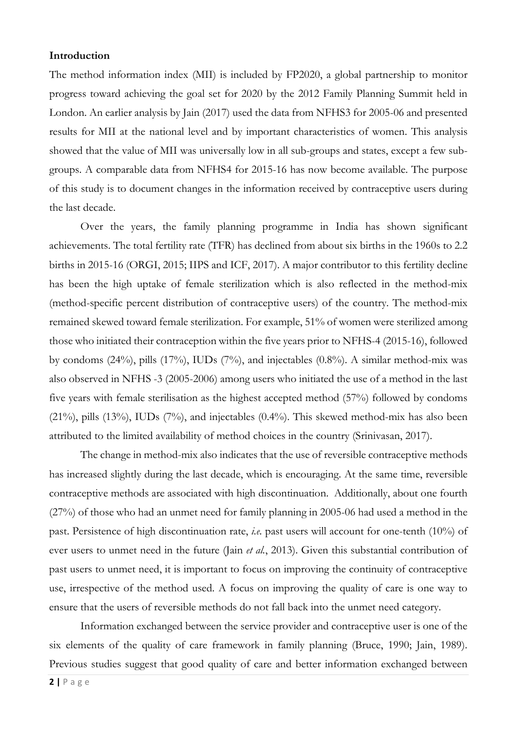#### **Introduction**

The method information index (MII) is included by FP2020, a global partnership to monitor progress toward achieving the goal set for 2020 by the 2012 Family Planning Summit held in London. An earlier analysis by Jain (2017) used the data from NFHS3 for 2005-06 and presented results for MII at the national level and by important characteristics of women. This analysis showed that the value of MII was universally low in all sub-groups and states, except a few subgroups. A comparable data from NFHS4 for 2015-16 has now become available. The purpose of this study is to document changes in the information received by contraceptive users during the last decade.

Over the years, the family planning programme in India has shown significant achievements. The total fertility rate (TFR) has declined from about six births in the 1960s to 2.2 births in 2015-16 (ORGI, 2015; IIPS and ICF, 2017). A major contributor to this fertility decline has been the high uptake of female sterilization which is also reflected in the method-mix (method-specific percent distribution of contraceptive users) of the country. The method-mix remained skewed toward female sterilization. For example, 51% of women were sterilized among those who initiated their contraception within the five years prior to NFHS-4 (2015-16), followed by condoms (24%), pills (17%), IUDs (7%), and injectables (0.8%). A similar method-mix was also observed in NFHS -3 (2005-2006) among users who initiated the use of a method in the last five years with female sterilisation as the highest accepted method (57%) followed by condoms (21%), pills (13%), IUDs (7%), and injectables (0.4%). This skewed method-mix has also been attributed to the limited availability of method choices in the country (Srinivasan, 2017).

The change in method-mix also indicates that the use of reversible contraceptive methods has increased slightly during the last decade, which is encouraging. At the same time, reversible contraceptive methods are associated with high discontinuation. Additionally, about one fourth (27%) of those who had an unmet need for family planning in 2005-06 had used a method in the past. Persistence of high discontinuation rate, *i.e.* past users will account for one-tenth (10%) of ever users to unmet need in the future (Jain *et al.*, 2013). Given this substantial contribution of past users to unmet need, it is important to focus on improving the continuity of contraceptive use, irrespective of the method used. A focus on improving the quality of care is one way to ensure that the users of reversible methods do not fall back into the unmet need category.

Information exchanged between the service provider and contraceptive user is one of the six elements of the quality of care framework in family planning (Bruce, 1990; Jain, 1989). Previous studies suggest that good quality of care and better information exchanged between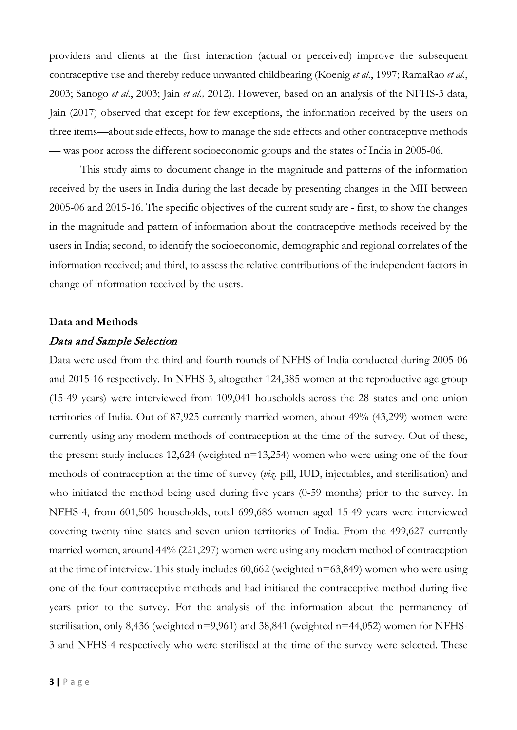providers and clients at the first interaction (actual or perceived) improve the subsequent contraceptive use and thereby reduce unwanted childbearing (Koenig *et al.*, 1997; RamaRao *et al.*, 2003; Sanogo *et al.*, 2003; Jain *et al.,* 2012). However, based on an analysis of the NFHS-3 data, Jain (2017) observed that except for few exceptions, the information received by the users on three items—about side effects, how to manage the side effects and other contraceptive methods — was poor across the different socioeconomic groups and the states of India in 2005-06.

This study aims to document change in the magnitude and patterns of the information received by the users in India during the last decade by presenting changes in the MII between 2005-06 and 2015-16. The specific objectives of the current study are - first, to show the changes in the magnitude and pattern of information about the contraceptive methods received by the users in India; second, to identify the socioeconomic, demographic and regional correlates of the information received; and third, to assess the relative contributions of the independent factors in change of information received by the users.

#### **Data and Methods**

### Data and Sample Selection

Data were used from the third and fourth rounds of NFHS of India conducted during 2005-06 and 2015-16 respectively. In NFHS-3, altogether 124,385 women at the reproductive age group (15-49 years) were interviewed from 109,041 households across the 28 states and one union territories of India. Out of 87,925 currently married women, about 49% (43,299) women were currently using any modern methods of contraception at the time of the survey. Out of these, the present study includes 12,624 (weighted n=13,254) women who were using one of the four methods of contraception at the time of survey (*viz.* pill, IUD, injectables, and sterilisation) and who initiated the method being used during five years (0-59 months) prior to the survey. In NFHS-4, from 601,509 households, total 699,686 women aged 15-49 years were interviewed covering twenty-nine states and seven union territories of India. From the 499,627 currently married women, around 44% (221,297) women were using any modern method of contraception at the time of interview. This study includes 60,662 (weighted n=63,849) women who were using one of the four contraceptive methods and had initiated the contraceptive method during five years prior to the survey. For the analysis of the information about the permanency of sterilisation, only 8,436 (weighted n=9,961) and 38,841 (weighted n=44,052) women for NFHS-3 and NFHS-4 respectively who were sterilised at the time of the survey were selected. These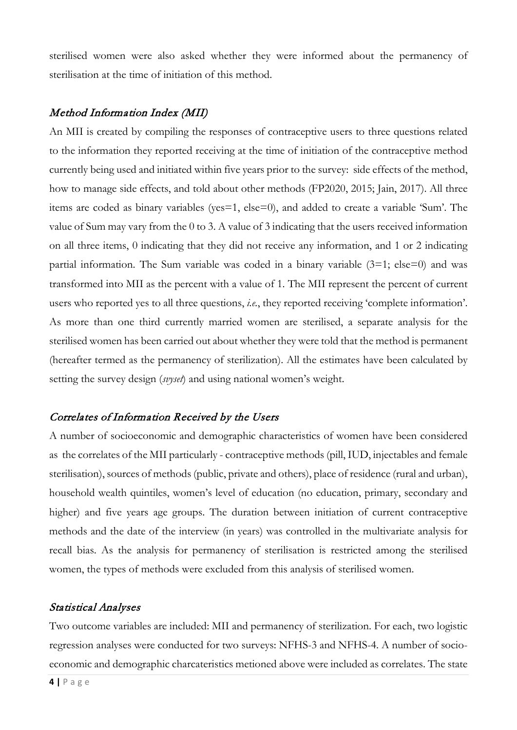sterilised women were also asked whether they were informed about the permanency of sterilisation at the time of initiation of this method.

# Method Information Index (MII)

An MII is created by compiling the responses of contraceptive users to three questions related to the information they reported receiving at the time of initiation of the contraceptive method currently being used and initiated within five years prior to the survey: side effects of the method, how to manage side effects, and told about other methods (FP2020, 2015; Jain, 2017). All three items are coded as binary variables (yes=1, else=0), and added to create a variable 'Sum'. The value of Sum may vary from the 0 to 3. A value of 3 indicating that the users received information on all three items, 0 indicating that they did not receive any information, and 1 or 2 indicating partial information. The Sum variable was coded in a binary variable  $(3=1;$  else=0) and was transformed into MII as the percent with a value of 1. The MII represent the percent of current users who reported yes to all three questions, *i.e.*, they reported receiving 'complete information'. As more than one third currently married women are sterilised, a separate analysis for the sterilised women has been carried out about whether they were told that the method is permanent (hereafter termed as the permanency of sterilization). All the estimates have been calculated by setting the survey design (*svyset*) and using national women's weight.

# Correlates of Information Received by the Users

A number of socioeconomic and demographic characteristics of women have been considered as the correlates of the MII particularly - contraceptive methods (pill, IUD, injectables and female sterilisation), sources of methods (public, private and others), place of residence (rural and urban), household wealth quintiles, women's level of education (no education, primary, secondary and higher) and five years age groups. The duration between initiation of current contraceptive methods and the date of the interview (in years) was controlled in the multivariate analysis for recall bias. As the analysis for permanency of sterilisation is restricted among the sterilised women, the types of methods were excluded from this analysis of sterilised women.

# Statistical Analyses

Two outcome variables are included: MII and permanency of sterilization. For each, two logistic regression analyses were conducted for two surveys: NFHS-3 and NFHS-4. A number of socioeconomic and demographic charcateristics metioned above were included as correlates. The state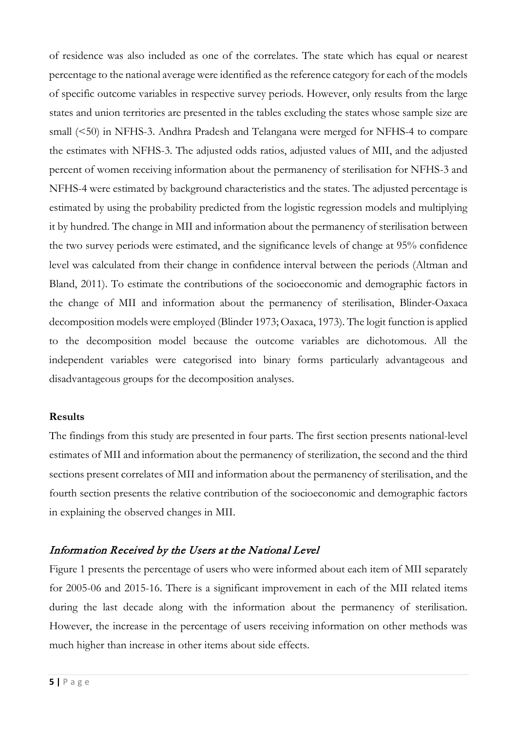of residence was also included as one of the correlates. The state which has equal or nearest percentage to the national average were identified as the reference category for each of the models of specific outcome variables in respective survey periods. However, only results from the large states and union territories are presented in the tables excluding the states whose sample size are small (<50) in NFHS-3. Andhra Pradesh and Telangana were merged for NFHS-4 to compare the estimates with NFHS-3. The adjusted odds ratios, adjusted values of MII, and the adjusted percent of women receiving information about the permanency of sterilisation for NFHS-3 and NFHS-4 were estimated by background characteristics and the states. The adjusted percentage is estimated by using the probability predicted from the logistic regression models and multiplying it by hundred. The change in MII and information about the permanency of sterilisation between the two survey periods were estimated, and the significance levels of change at 95% confidence level was calculated from their change in confidence interval between the periods (Altman and Bland, 2011). To estimate the contributions of the socioeconomic and demographic factors in the change of MII and information about the permanency of sterilisation, Blinder-Oaxaca decomposition models were employed (Blinder 1973; Oaxaca, 1973). The logit function is applied to the decomposition model because the outcome variables are dichotomous. All the independent variables were categorised into binary forms particularly advantageous and disadvantageous groups for the decomposition analyses.

#### **Results**

The findings from this study are presented in four parts. The first section presents national-level estimates of MII and information about the permanency of sterilization, the second and the third sections present correlates of MII and information about the permanency of sterilisation, and the fourth section presents the relative contribution of the socioeconomic and demographic factors in explaining the observed changes in MII.

# Information Received by the Users at the National Level

Figure 1 presents the percentage of users who were informed about each item of MII separately for 2005-06 and 2015-16. There is a significant improvement in each of the MII related items during the last decade along with the information about the permanency of sterilisation. However, the increase in the percentage of users receiving information on other methods was much higher than increase in other items about side effects.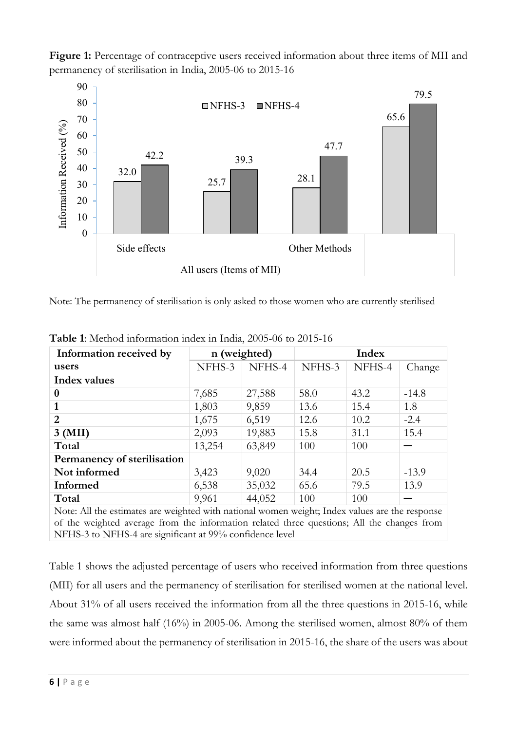Figure 1: Percentage of contraceptive users received information about three items of MII and permanency of sterilisation in India, 2005-06 to 2015-16



Note: The permanency of sterilisation is only asked to those women who are currently sterilised

| Information received by     | n (weighted) |        | Index  |        |         |
|-----------------------------|--------------|--------|--------|--------|---------|
| users                       | NFHS-3       | NFHS-4 | NFHS-3 | NFHS-4 | Change  |
| <b>Index values</b>         |              |        |        |        |         |
| 0                           | 7,685        | 27,588 | 58.0   | 43.2   | $-14.8$ |
|                             | 1,803        | 9,859  | 13.6   | 15.4   | 1.8     |
| $\overline{2}$              | 1,675        | 6,519  | 12.6   | 10.2   | $-2.4$  |
| 3 (MII)                     | 2,093        | 19,883 | 15.8   | 31.1   | 15.4    |
| Total                       | 13,254       | 63,849 | 100    | 100    |         |
| Permanency of sterilisation |              |        |        |        |         |
| Not informed                | 3,423        | 9,020  | 34.4   | 20.5   | $-13.9$ |
| Informed                    | 6,538        | 35,032 | 65.6   | 79.5   | 13.9    |
| Total<br>$\cdots$           | 9,961        | 44,052 | 100    | 100    |         |

**Table 1**: Method information index in India, 2005-06 to 2015-16

Note: All the estimates are weighted with national women weight; Index values are the response of the weighted average from the information related three questions; All the changes from NFHS-3 to NFHS-4 are significant at 99% confidence level

Table 1 shows the adjusted percentage of users who received information from three questions (MII) for all users and the permanency of sterilisation for sterilised women at the national level. About 31% of all users received the information from all the three questions in 2015-16, while the same was almost half (16%) in 2005-06. Among the sterilised women, almost 80% of them were informed about the permanency of sterilisation in 2015-16, the share of the users was about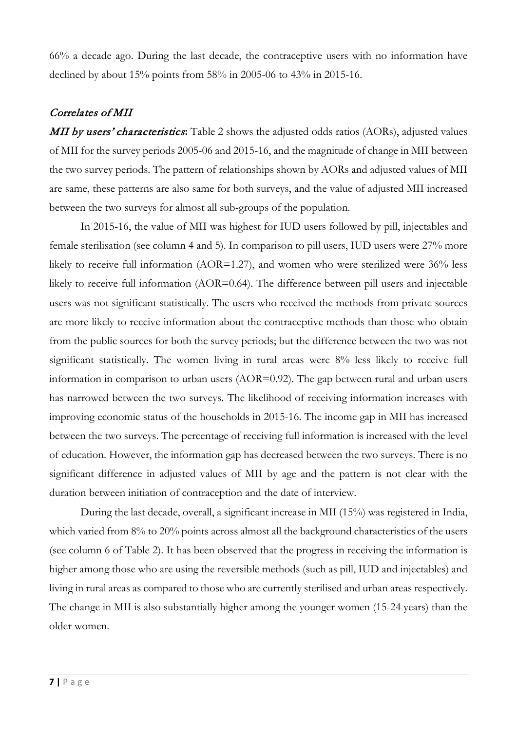66% a decade ago. During the last decade, the contraceptive users with no information have declined by about 15% points from 58% in 2005-06 to 43% in 2015-16.

# Correlates of MII

**MII by users' characteristics:** Table 2 shows the adjusted odds ratios (AORs), adjusted values of MII for the survey periods 2005-06 and 2015-16, and the magnitude of change in MII between the two survey periods. The pattern of relationships shown by AORs and adjusted values of MII are same, these patterns are also same for both surveys, and the value of adjusted MII increased between the two surveys for almost all sub-groups of the population.

In 2015-16, the value of MII was highest for IUD users followed by pill, injectables and female sterilisation (see column 4 and 5). In comparison to pill users, IUD users were 27% more likely to receive full information (AOR=1.27), and women who were sterilized were 36% less likely to receive full information (AOR=0.64). The difference between pill users and injectable users was not significant statistically. The users who received the methods from private sources are more likely to receive information about the contraceptive methods than those who obtain from the public sources for both the survey periods; but the difference between the two was not significant statistically. The women living in rural areas were 8% less likely to receive full information in comparison to urban users (AOR=0.92). The gap between rural and urban users has narrowed between the two surveys. The likelihood of receiving information increases with improving economic status of the households in 2015-16. The income gap in MII has increased between the two surveys. The percentage of receiving full information is increased with the level of education. However, the information gap has decreased between the two surveys. There is no significant difference in adjusted values of MII by age and the pattern is not clear with the duration between initiation of contraception and the date of interview.

During the last decade, overall, a significant increase in MII (15%) was registered in India, which varied from 8% to 20% points across almost all the background characteristics of the users (see column 6 of Table 2). It has been observed that the progress in receiving the information is higher among those who are using the reversible methods (such as pill, IUD and injectables) and living in rural areas as compared to those who are currently sterilised and urban areas respectively. The change in MII is also substantially higher among the younger women (15-24 years) than the older women.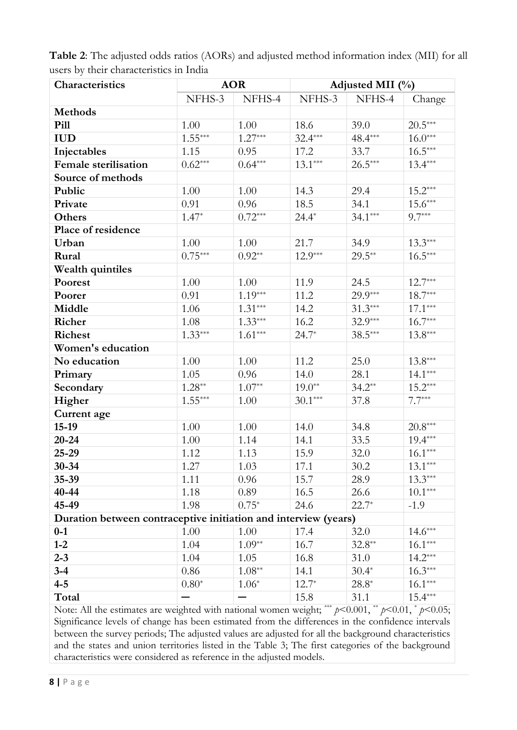| Characteristics                                                                                             |           | <b>AOR</b> | Adjusted MII (%) |           |           |  |
|-------------------------------------------------------------------------------------------------------------|-----------|------------|------------------|-----------|-----------|--|
|                                                                                                             | NFHS-3    | NFHS-4     | NFHS-3           | NFHS-4    | Change    |  |
| <b>Methods</b>                                                                                              |           |            |                  |           |           |  |
| Pill                                                                                                        | 1.00      | 1.00       | 18.6             | 39.0      | $20.5***$ |  |
| <b>IUD</b>                                                                                                  | $1.55***$ | $1.27***$  | $32.4***$        | 48.4***   | $16.0***$ |  |
| Injectables                                                                                                 | 1.15      | 0.95       | 17.2             | 33.7      | $16.5***$ |  |
| <b>Female</b> sterilisation                                                                                 | $0.62***$ | $0.64***$  | $13.1***$        | $26.5***$ | $13.4***$ |  |
| Source of methods                                                                                           |           |            |                  |           |           |  |
| Public                                                                                                      | 1.00      | 1.00       | 14.3             | 29.4      | $15.2***$ |  |
| Private                                                                                                     | 0.91      | 0.96       | 18.5             | 34.1      | $15.6***$ |  |
| Others                                                                                                      | $1.47*$   | $0.72***$  | $24.4*$          | $34.1***$ | $9.7***$  |  |
| Place of residence                                                                                          |           |            |                  |           |           |  |
| Urban                                                                                                       | 1.00      | 1.00       | 21.7             | 34.9      | $13.3***$ |  |
| Rural                                                                                                       | $0.75***$ | $0.92**$   | $12.9***$        | $29.5***$ | $16.5***$ |  |
| Wealth quintiles                                                                                            |           |            |                  |           |           |  |
| Poorest                                                                                                     | 1.00      | 1.00       | 11.9             | 24.5      | $12.7***$ |  |
| Poorer                                                                                                      | 0.91      | $1.19***$  | 11.2             | $29.9***$ | $18.7***$ |  |
| Middle                                                                                                      | 1.06      | $1.31***$  | 14.2             | $31.3***$ | $17.1***$ |  |
| Richer                                                                                                      | 1.08      | $1.33***$  | 16.2             | $32.9***$ | $16.7***$ |  |
| <b>Richest</b>                                                                                              | $1.33***$ | $1.61***$  | $24.7*$          | $38.5***$ | $13.8***$ |  |
| Women's education                                                                                           |           |            |                  |           |           |  |
| No education                                                                                                | 1.00      | 1.00       | 11.2             | 25.0      | $13.8***$ |  |
| Primary                                                                                                     | 1.05      | 0.96       | 14.0             | 28.1      | $14.1***$ |  |
| Secondary                                                                                                   | $1.28**$  | $1.07**$   | $19.0**$         | $34.2**$  | $15.2***$ |  |
| Higher                                                                                                      | $1.55***$ | 1.00       | $30.1***$        | 37.8      | $7.7***$  |  |
| Current age                                                                                                 |           |            |                  |           |           |  |
| $15-19$                                                                                                     | 1.00      | 1.00       | 14.0             | 34.8      | $20.8***$ |  |
| $20 - 24$                                                                                                   | 1.00      | 1.14       | 14.1             | 33.5      | $19.4***$ |  |
| 25-29                                                                                                       | 1.12      | 1.13       | 15.9             | 32.0      | $16.1***$ |  |
| $30 - 34$                                                                                                   | 1.27      | 1.03       | 17.1             | 30.2      | $13.1***$ |  |
| $35 - 39$                                                                                                   | 1.11      | 0.96       | 15.7             | 28.9      | $13.3***$ |  |
| 40-44                                                                                                       | 1.18      | 0.89       | 16.5             | 26.6      | $10.1***$ |  |
| 45-49                                                                                                       | 1.98      | $0.75*$    | 24.6             | $22.7*$   | $-1.9$    |  |
| Duration between contraceptive initiation and interview (years)                                             |           |            |                  |           |           |  |
| $0-1$                                                                                                       | 1.00      | 1.00       | 17.4             | 32.0      | $14.6***$ |  |
| $1-2$                                                                                                       | 1.04      | $1.09**$   | 16.7             | $32.8**$  | $16.1***$ |  |
| $2 - 3$                                                                                                     | 1.04      | 1.05       | 16.8             | 31.0      | $14.2***$ |  |
| $3 - 4$                                                                                                     | 0.86      | $1.08**$   | 14.1             | $30.4*$   | $16.3***$ |  |
| $4 - 5$                                                                                                     | $0.80*$   | $1.06*$    | $12.7*$          | $28.8*$   | $16.1***$ |  |
| Total                                                                                                       |           |            | 15.8             | 31.1      | $15.4***$ |  |
| Note: All the estimates are weighted with national women weight; *** $p$ <0.001, ** $p$ <0.01, * $p$ <0.05; |           |            |                  |           |           |  |
| Significance levels of change has been estimated from the differences in the confidence intervals           |           |            |                  |           |           |  |

**Table 2**: The adjusted odds ratios (AORs) and adjusted method information index (MII) for all users by their characteristics in India

Significance levels of change has been estimated from the differences in the confidence intervals between the survey periods; The adjusted values are adjusted for all the background characteristics and the states and union territories listed in the Table 3; The first categories of the background characteristics were considered as reference in the adjusted models.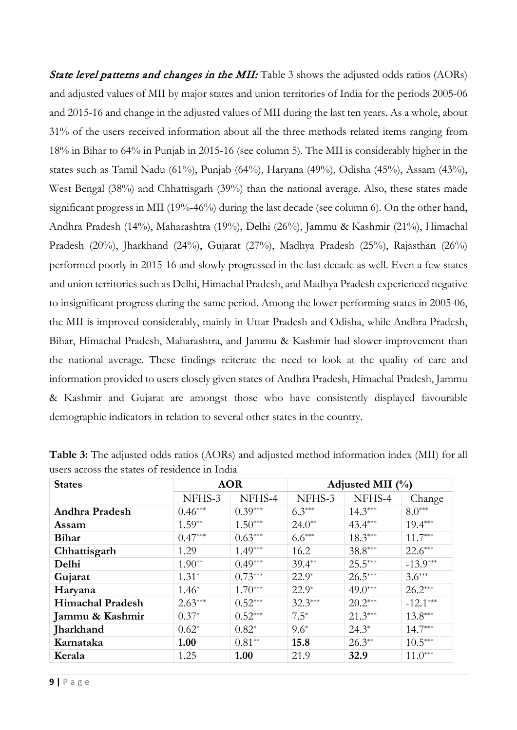State level patterns and changes in the MII: Table 3 shows the adjusted odds ratios (AORs) and adjusted values of MII by major states and union territories of India for the periods 2005-06 and 2015-16 and change in the adjusted values of MII during the last ten years. As a whole, about 31% of the users received information about all the three methods related items ranging from 18% in Bihar to 64% in Punjab in 2015-16 (see column 5). The MII is considerably higher in the states such as Tamil Nadu (61%), Punjab (64%), Haryana (49%), Odisha (45%), Assam (43%), West Bengal (38%) and Chhattisgarh (39%) than the national average. Also, these states made significant progress in MII (19%-46%) during the last decade (see column 6). On the other hand, Andhra Pradesh (14%), Maharashtra (19%), Delhi (26%), Jammu & Kashmir (21%), Himachal Pradesh (20%), Jharkhand (24%), Gujarat (27%), Madhya Pradesh (25%), Rajasthan (26%) performed poorly in 2015-16 and slowly progressed in the last decade as well. Even a few states and union territories such as Delhi, Himachal Pradesh, and Madhya Pradesh experienced negative to insignificant progress during the same period. Among the lower performing states in 2005-06, the MII is improved considerably, mainly in Uttar Pradesh and Odisha, while Andhra Pradesh, Bihar, Himachal Pradesh, Maharashtra, and Jammu & Kashmir had slower improvement than the national average. These findings reiterate the need to look at the quality of care and information provided to users closely given states of Andhra Pradesh, Himachal Pradesh, Jammu & Kashmir and Gujarat are amongst those who have consistently displayed favourable demographic indicators in relation to several other states in the country.

| <b>States</b>           | <b>AOR</b> |           | Adjusted MII $(\%$ |           |            |  |
|-------------------------|------------|-----------|--------------------|-----------|------------|--|
|                         | NFHS-3     | NFHS-4    | NFHS-3             | NFHS-4    | Change     |  |
| Andhra Pradesh          | $0.46***$  | $0.39***$ | $6.3***$           | $14.3***$ | $8.0***$   |  |
| Assam                   | $1.59**$   | $1.50***$ | $24.0**$           | $43.4***$ | $19.4***$  |  |
| <b>Bihar</b>            | $0.47***$  | $0.63***$ | $6.6***$           | $18.3***$ | $11.7***$  |  |
| Chhattisgarh            | 1.29       | $1.49***$ | 16.2               | $38.8***$ | $22.6***$  |  |
| Delhi                   | $1.90**$   | $0.49***$ | $39.4**$           | $25.5***$ | $-13.9***$ |  |
| Gujarat                 | $1.31*$    | $0.73***$ | $22.9*$            | $26.5***$ | $3.6***$   |  |
| Haryana                 | $1.46*$    | $1.70***$ | $22.9*$            | $49.0***$ | $26.2***$  |  |
| <b>Himachal Pradesh</b> | $2.63***$  | $0.52***$ | $32.3***$          | $20.2***$ | $-12.1***$ |  |
| Jammu & Kashmir         | $0.37*$    | $0.52***$ | $7.5^*$            | $21.3***$ | $13.8***$  |  |
| Jharkhand               | $0.62*$    | $0.82*$   | $9.6*$             | $24.3*$   | $14.7***$  |  |
| Karnataka               | 1.00       | $0.81**$  | 15.8               | $26.3**$  | $10.5***$  |  |
| Kerala                  | 1.25       | 1.00      | 21.9               | 32.9      | $11.0***$  |  |

**Table 3:** The adjusted odds ratios (AORs) and adjusted method information index (MII) for all users across the states of residence in India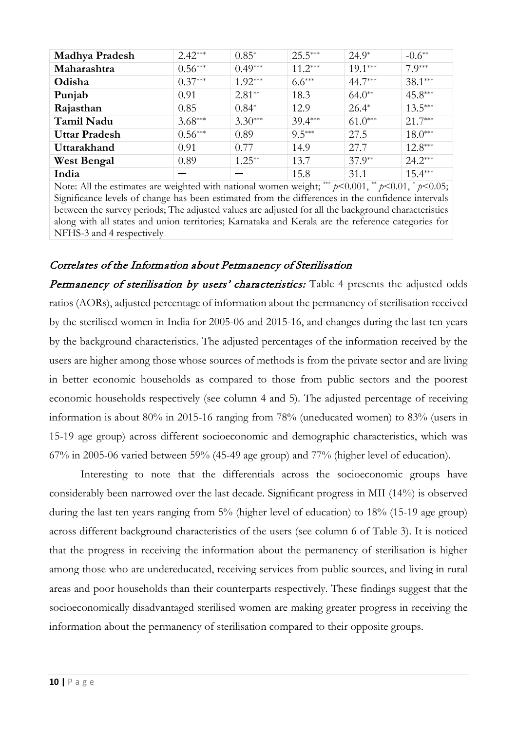| <b>Madhya Pradesh</b> | $2.42***$ | $0.85*$   | $25.5***$ | $24.9*$   | $-0.6**$  |
|-----------------------|-----------|-----------|-----------|-----------|-----------|
| Maharashtra           | $0.56***$ | $0.49***$ | $11.2***$ | $19.1***$ | $7.9***$  |
| Odisha                | $0.37***$ | $1.92***$ | $6.6***$  | 44.7***   | $38.1***$ |
| Punjab                | 0.91      | $2.81**$  | 18.3      | $64.0**$  | $45.8***$ |
| Rajasthan             | 0.85      | $0.84*$   | 12.9      | $26.4*$   | $13.5***$ |
| Tamil Nadu            | $3.68***$ | $3.30***$ | $39.4***$ | $61.0***$ | $21.7***$ |
| <b>Uttar Pradesh</b>  | $0.56***$ | 0.89      | $9.5***$  | 27.5      | $18.0***$ |
| Uttarakhand           | 0.91      | 0.77      | 14.9      | 27.7      | $12.8***$ |
| <b>West Bengal</b>    | 0.89      | $1.25**$  | 13.7      | $37.9**$  | $24.2***$ |
| India                 |           |           | 15.8      | 31.1      | $15.4***$ |

Note: All the estimates are weighted with national women weight; \*\*\*  $p \le 0.001$ , \*  $p \le 0.01$ , \*  $p \le 0.05$ ; Significance levels of change has been estimated from the differences in the confidence intervals between the survey periods; The adjusted values are adjusted for all the background characteristics along with all states and union territories; Karnataka and Kerala are the reference categories for NFHS-3 and 4 respectively

# Correlates of the Information about Permanency of Sterilisation

Permanency of sterilisation by users' characteristics: Table 4 presents the adjusted odds ratios (AORs), adjusted percentage of information about the permanency of sterilisation received by the sterilised women in India for 2005-06 and 2015-16, and changes during the last ten years by the background characteristics. The adjusted percentages of the information received by the users are higher among those whose sources of methods is from the private sector and are living in better economic households as compared to those from public sectors and the poorest economic households respectively (see column 4 and 5). The adjusted percentage of receiving information is about 80% in 2015-16 ranging from 78% (uneducated women) to 83% (users in 15-19 age group) across different socioeconomic and demographic characteristics, which was 67% in 2005-06 varied between 59% (45-49 age group) and 77% (higher level of education).

Interesting to note that the differentials across the socioeconomic groups have considerably been narrowed over the last decade. Significant progress in MII (14%) is observed during the last ten years ranging from 5% (higher level of education) to 18% (15-19 age group) across different background characteristics of the users (see column 6 of Table 3). It is noticed that the progress in receiving the information about the permanency of sterilisation is higher among those who are undereducated, receiving services from public sources, and living in rural areas and poor households than their counterparts respectively. These findings suggest that the socioeconomically disadvantaged sterilised women are making greater progress in receiving the information about the permanency of sterilisation compared to their opposite groups.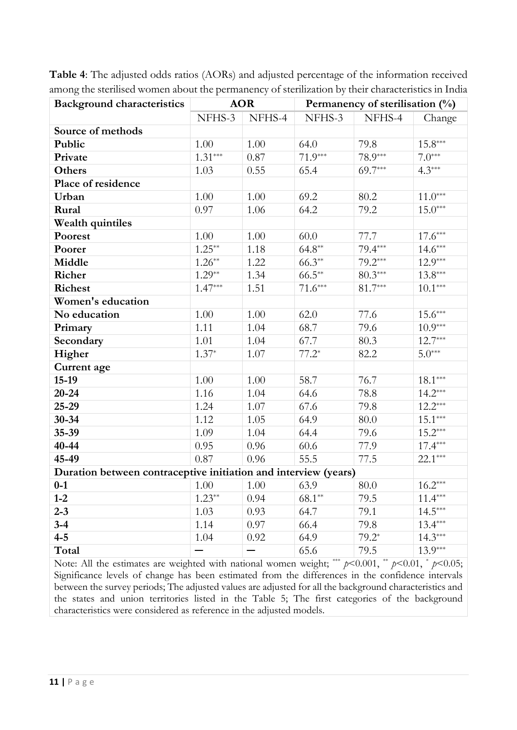| <b>Background characteristics</b>                               | <b>AOR</b>           |        | Permanency of sterilisation (%) |           |                       |  |
|-----------------------------------------------------------------|----------------------|--------|---------------------------------|-----------|-----------------------|--|
|                                                                 | NFHS-3               | NFHS-4 | NFHS-3                          | NFHS-4    | Change                |  |
| Source of methods                                               |                      |        |                                 |           |                       |  |
| Public                                                          | 1.00                 | 1.00   | 64.0                            | 79.8      | $15.8***$             |  |
| Private                                                         | $1.31***$            | 0.87   | $71.9***$                       | 78.9***   | $7.0***$              |  |
| Others                                                          | 1.03                 | 0.55   | 65.4                            | $69.7***$ | $4.3***$              |  |
| Place of residence                                              |                      |        |                                 |           |                       |  |
| Urban                                                           | 1.00                 | 1.00   | 69.2                            | 80.2      | $11.0***$             |  |
| Rural                                                           | 0.97                 | 1.06   | 64.2                            | 79.2      | $15.0***$             |  |
| Wealth quintiles                                                |                      |        |                                 |           |                       |  |
| Poorest                                                         | 1.00                 | 1.00   | 60.0                            | 77.7      | $17.6***$             |  |
| Poorer                                                          | $1.25***$            | 1.18   | $64.8**$                        | 79.4***   | $14.6***$             |  |
| Middle                                                          | $1.26**$             | 1.22   | $66.3**$                        | $79.2***$ | $12.9***$             |  |
| Richer                                                          | $1.29**$             | 1.34   | $66.5***$                       | $80.3***$ | $13.8***$             |  |
| <b>Richest</b>                                                  | $1.47***$            | 1.51   | $71.6***$                       | $81.7***$ | $10.1***$             |  |
| Women's education                                               |                      |        |                                 |           |                       |  |
| No education                                                    | 1.00                 | 1.00   | 62.0                            | 77.6      | $15.6^{\ast\ast\ast}$ |  |
| Primary                                                         | 1.11                 | 1.04   | 68.7                            | 79.6      | $10.9***$             |  |
| Secondary                                                       | 1.01                 | 1.04   | 67.7                            | 80.3      | $12.7***$             |  |
| Higher                                                          | $1.37*$              | 1.07   | $77.2*$                         | 82.2      | $5.0***$              |  |
| Current age                                                     |                      |        |                                 |           |                       |  |
| $15-19$                                                         | 1.00                 | 1.00   | 58.7                            | 76.7      | $18.1^{\ast\ast\ast}$ |  |
| $20 - 24$                                                       | 1.16                 | 1.04   | 64.6                            | 78.8      | $14.2***$             |  |
| 25-29                                                           | 1.24                 | 1.07   | 67.6                            | 79.8      | $12.2***$             |  |
| $30 - 34$                                                       | 1.12                 | 1.05   | 64.9                            | 80.0      | $15.1***$             |  |
| 35-39                                                           | 1.09                 | 1.04   | 64.4                            | 79.6      | $15.2***$             |  |
| 40-44                                                           | 0.95                 | 0.96   | 60.6                            | 77.9      | $17.4***$             |  |
| 45-49                                                           | 0.87                 | 0.96   | 55.5                            | 77.5      | $22.1***$             |  |
| Duration between contraceptive initiation and interview (years) |                      |        |                                 |           |                       |  |
| $0-1$                                                           | $1.00$ $1.00$ $63.9$ |        |                                 | 80.0      | $16.2***$             |  |
| $1 - 2$                                                         | $1.23**$             | 0.94   | $68.1**$                        | 79.5      | $11.4***$             |  |
| $2 - 3$                                                         | 1.03                 | 0.93   | 64.7                            | 79.1      | $14.5***$             |  |
| $3 - 4$                                                         | 1.14                 | 0.97   | 66.4                            | 79.8      | $13.4***$             |  |
| $4 - 5$                                                         | 1.04                 | 0.92   | 64.9                            | $79.2*$   | $14.3***$             |  |
| Total                                                           |                      |        | 65.6                            | 79.5      | $13.9***$             |  |

**Table 4**: The adjusted odds ratios (AORs) and adjusted percentage of the information received among the sterilised women about the permanency of sterilization by their characteristics in India

Note: All the estimates are weighted with national women weight; \*\*\*  $p$ <0.001, \*\*  $p$ <0.01, \*  $p$ <0.05; Significance levels of change has been estimated from the differences in the confidence intervals between the survey periods; The adjusted values are adjusted for all the background characteristics and the states and union territories listed in the Table 5; The first categories of the background characteristics were considered as reference in the adjusted models.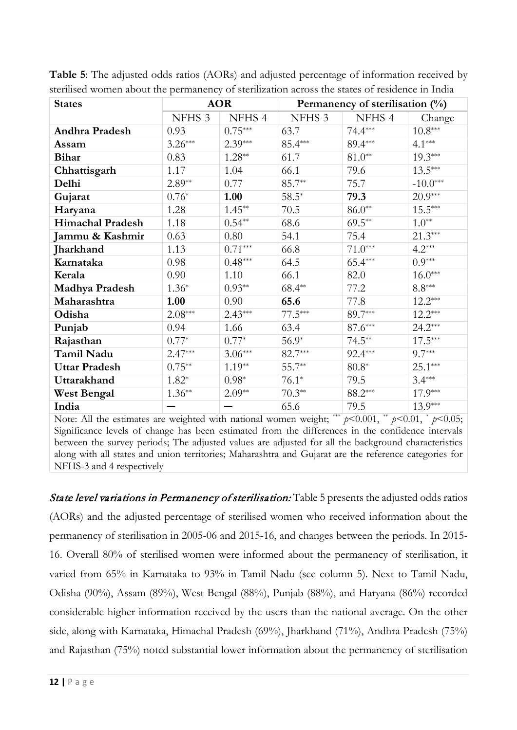| <b>States</b>         |           | <b>AOR</b> |           | Permanency of sterilisation $(\%)$ |                      |
|-----------------------|-----------|------------|-----------|------------------------------------|----------------------|
|                       | NFHS-3    | NFHS-4     | NFHS-3    | NFHS-4                             | Change               |
| Andhra Pradesh        | 0.93      | $0.75***$  | 63.7      | $74.4***$                          | $10.8***$            |
| Assam                 | $3.26***$ | $2.39***$  | 85.4***   | 89.4***                            | $4.1***$             |
| <b>Bihar</b>          | 0.83      | $1.28**$   | 61.7      | $81.0**$                           | $19.3***$            |
| Chhattisgarh          | 1.17      | 1.04       | 66.1      | 79.6                               | $13.5***$            |
| Delhi                 | $2.89**$  | 0.77       | 85.7**    | 75.7                               | $-10.0***$           |
| Gujarat               | $0.76*$   | 1.00       | $58.5*$   | 79.3                               | $20.9***$            |
| Haryana               | 1.28      | $1.45**$   | 70.5      | $86.0**$                           | $15.5***$            |
| Himachal Pradesh      | 1.18      | $0.54**$   | 68.6      | $69.5***$                          | $1.0**$              |
| Jammu & Kashmir       | 0.63      | 0.80       | 54.1      | 75.4                               | $21.3***$            |
| Jharkhand             | 1.13      | $0.71***$  | 66.8      | $71.0***$                          | $4.2***$             |
| Karnataka             | 0.98      | $0.48***$  | 64.5      | $65.4***$                          | $0.9***$             |
| Kerala                | 0.90      | 1.10       | 66.1      | 82.0                               | $16.0***$            |
| <b>Madhya Pradesh</b> | $1.36*$   | $0.93**$   | $68.4**$  | 77.2                               | $8.8^{\ast\ast\ast}$ |
| Maharashtra           | 1.00      | 0.90       | 65.6      | 77.8                               | $12.2***$            |
| Odisha                | $2.08***$ | $2.43***$  | $77.5***$ | 89.7***                            | $12.2***$            |
| Punjab                | 0.94      | 1.66       | 63.4      | $87.6^{\ast\ast\ast}$              | $24.2***$            |
| Rajasthan             | $0.77*$   | $0.77*$    | $56.9*$   | $74.5***$                          | $17.5***$            |
| Tamil Nadu            | $2.47***$ | $3.06***$  | 82.7***   | $92.4***$                          | $9.7***$             |
| <b>Uttar Pradesh</b>  | $0.75**$  | $1.19**$   | $55.7**$  | $80.8*$                            | $25.1***$            |
| Uttarakhand           | $1.82*$   | $0.98*$    | $76.1*$   | 79.5                               | $3.4***$             |
| <b>West Bengal</b>    | $1.36**$  | $2.09**$   | $70.3**$  | $88.2***$                          | $17.9***$            |
| India                 |           |            | 65.6      | 79.5                               | $13.9***$            |

**Table 5**: The adjusted odds ratios (AORs) and adjusted percentage of information received by sterilised women about the permanency of sterilization across the states of residence in India

Note: All the estimates are weighted with national women weight; \*\*\*  $p$ <0.001, \*  $p$ <0.01, \*  $p$ <0.05; Significance levels of change has been estimated from the differences in the confidence intervals between the survey periods; The adjusted values are adjusted for all the background characteristics along with all states and union territories; Maharashtra and Gujarat are the reference categories for NFHS-3 and 4 respectively

State level variations in Permanency of sterilisation: Table 5 presents the adjusted odds ratios (AORs) and the adjusted percentage of sterilised women who received information about the permanency of sterilisation in 2005-06 and 2015-16, and changes between the periods. In 2015- 16. Overall 80% of sterilised women were informed about the permanency of sterilisation, it varied from 65% in Karnataka to 93% in Tamil Nadu (see column 5). Next to Tamil Nadu, Odisha (90%), Assam (89%), West Bengal (88%), Punjab (88%), and Haryana (86%) recorded considerable higher information received by the users than the national average. On the other side, along with Karnataka, Himachal Pradesh (69%), Jharkhand (71%), Andhra Pradesh (75%) and Rajasthan (75%) noted substantial lower information about the permanency of sterilisation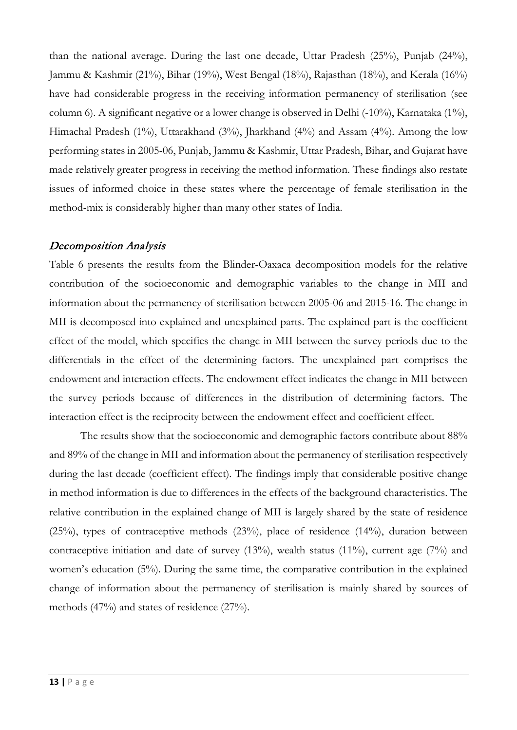than the national average. During the last one decade, Uttar Pradesh (25%), Punjab (24%), Jammu & Kashmir (21%), Bihar (19%), West Bengal (18%), Rajasthan (18%), and Kerala (16%) have had considerable progress in the receiving information permanency of sterilisation (see column 6). A significant negative or a lower change is observed in Delhi (-10%), Karnataka (1%), Himachal Pradesh (1%), Uttarakhand (3%), Jharkhand (4%) and Assam (4%). Among the low performing states in 2005-06, Punjab, Jammu & Kashmir, Uttar Pradesh, Bihar, and Gujarat have made relatively greater progress in receiving the method information. These findings also restate issues of informed choice in these states where the percentage of female sterilisation in the method-mix is considerably higher than many other states of India.

# Decomposition Analysis

Table 6 presents the results from the Blinder-Oaxaca decomposition models for the relative contribution of the socioeconomic and demographic variables to the change in MII and information about the permanency of sterilisation between 2005-06 and 2015-16. The change in MII is decomposed into explained and unexplained parts. The explained part is the coefficient effect of the model, which specifies the change in MII between the survey periods due to the differentials in the effect of the determining factors. The unexplained part comprises the endowment and interaction effects. The endowment effect indicates the change in MII between the survey periods because of differences in the distribution of determining factors. The interaction effect is the reciprocity between the endowment effect and coefficient effect.

The results show that the socioeconomic and demographic factors contribute about 88% and 89% of the change in MII and information about the permanency of sterilisation respectively during the last decade (coefficient effect). The findings imply that considerable positive change in method information is due to differences in the effects of the background characteristics. The relative contribution in the explained change of MII is largely shared by the state of residence (25%), types of contraceptive methods (23%), place of residence (14%), duration between contraceptive initiation and date of survey (13%), wealth status (11%), current age (7%) and women's education (5%). During the same time, the comparative contribution in the explained change of information about the permanency of sterilisation is mainly shared by sources of methods (47%) and states of residence (27%).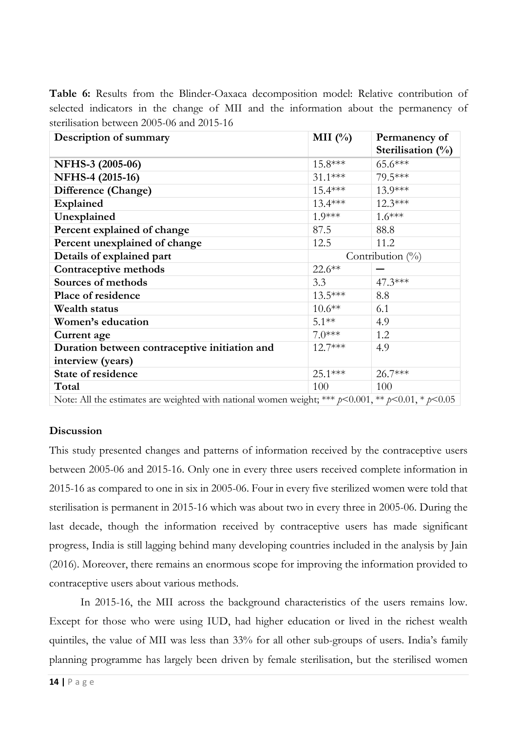**Table 6:** Results from the Blinder-Oaxaca decomposition model: Relative contribution of selected indicators in the change of MII and the information about the permanency of sterilisation between 2005-06 and 2015-16

| Description of summary                                                                                     | MII $(\% )$ | Permanency of        |
|------------------------------------------------------------------------------------------------------------|-------------|----------------------|
|                                                                                                            |             | Sterilisation $(\%)$ |
| NFHS-3 (2005-06)                                                                                           | 15.8***     | 65.6***              |
| NFHS-4 (2015-16)                                                                                           | $31.1***$   | 79.5***              |
| Difference (Change)                                                                                        | $15.4***$   | 13.9***              |
| Explained                                                                                                  | $13.4***$   | $12.3***$            |
| Unexplained                                                                                                | $1.9***$    | $1.6***$             |
| Percent explained of change                                                                                | 87.5        | 88.8                 |
| Percent unexplained of change                                                                              | 12.5        | 11.2                 |
| Details of explained part                                                                                  |             | Contribution $(\%)$  |
| Contraceptive methods                                                                                      | 22.6**      |                      |
| Sources of methods                                                                                         | 3.3         | 47.3***              |
| Place of residence                                                                                         | 13.5***     | 8.8                  |
| Wealth status                                                                                              | $10.6**$    | 6.1                  |
| <b>Women's education</b>                                                                                   | $5.1***$    | 4.9                  |
| Current age                                                                                                | $7.0***$    | 1.2                  |
| Duration between contraceptive initiation and                                                              | $12.7***$   | 4.9                  |
| interview (years)                                                                                          |             |                      |
| State of residence                                                                                         | 25.1***     | 26.7***              |
| Total                                                                                                      | 100         | 100                  |
| Note: All the estimates are weighted with national women weight; *** $p$ <0.001, ** $p$ <0.01, * $p$ <0.05 |             |                      |

**Discussion**

This study presented changes and patterns of information received by the contraceptive users between 2005-06 and 2015-16. Only one in every three users received complete information in 2015-16 as compared to one in six in 2005-06. Four in every five sterilized women were told that sterilisation is permanent in 2015-16 which was about two in every three in 2005-06. During the last decade, though the information received by contraceptive users has made significant progress, India is still lagging behind many developing countries included in the analysis by Jain (2016). Moreover, there remains an enormous scope for improving the information provided to contraceptive users about various methods.

In 2015-16, the MII across the background characteristics of the users remains low. Except for those who were using IUD, had higher education or lived in the richest wealth quintiles, the value of MII was less than 33% for all other sub-groups of users. India's family planning programme has largely been driven by female sterilisation, but the sterilised women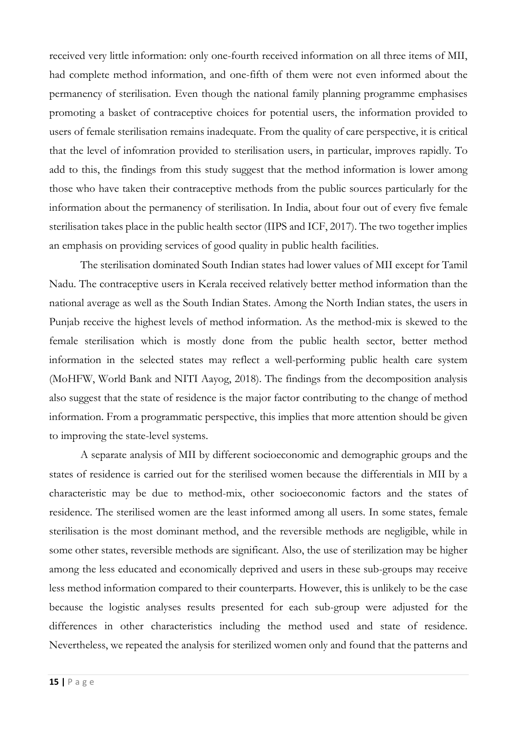received very little information: only one-fourth received information on all three items of MII, had complete method information, and one-fifth of them were not even informed about the permanency of sterilisation. Even though the national family planning programme emphasises promoting a basket of contraceptive choices for potential users, the information provided to users of female sterilisation remains inadequate. From the quality of care perspective, it is critical that the level of infomration provided to sterilisation users, in particular, improves rapidly. To add to this, the findings from this study suggest that the method information is lower among those who have taken their contraceptive methods from the public sources particularly for the information about the permanency of sterilisation. In India, about four out of every five female sterilisation takes place in the public health sector (IIPS and ICF, 2017). The two together implies an emphasis on providing services of good quality in public health facilities.

The sterilisation dominated South Indian states had lower values of MII except for Tamil Nadu. The contraceptive users in Kerala received relatively better method information than the national average as well as the South Indian States. Among the North Indian states, the users in Punjab receive the highest levels of method information. As the method-mix is skewed to the female sterilisation which is mostly done from the public health sector, better method information in the selected states may reflect a well-performing public health care system (MoHFW, World Bank and NITI Aayog, 2018). The findings from the decomposition analysis also suggest that the state of residence is the major factor contributing to the change of method information. From a programmatic perspective, this implies that more attention should be given to improving the state-level systems.

A separate analysis of MII by different socioeconomic and demographic groups and the states of residence is carried out for the sterilised women because the differentials in MII by a characteristic may be due to method-mix, other socioeconomic factors and the states of residence. The sterilised women are the least informed among all users. In some states, female sterilisation is the most dominant method, and the reversible methods are negligible, while in some other states, reversible methods are significant. Also, the use of sterilization may be higher among the less educated and economically deprived and users in these sub-groups may receive less method information compared to their counterparts. However, this is unlikely to be the case because the logistic analyses results presented for each sub-group were adjusted for the differences in other characteristics including the method used and state of residence. Nevertheless, we repeated the analysis for sterilized women only and found that the patterns and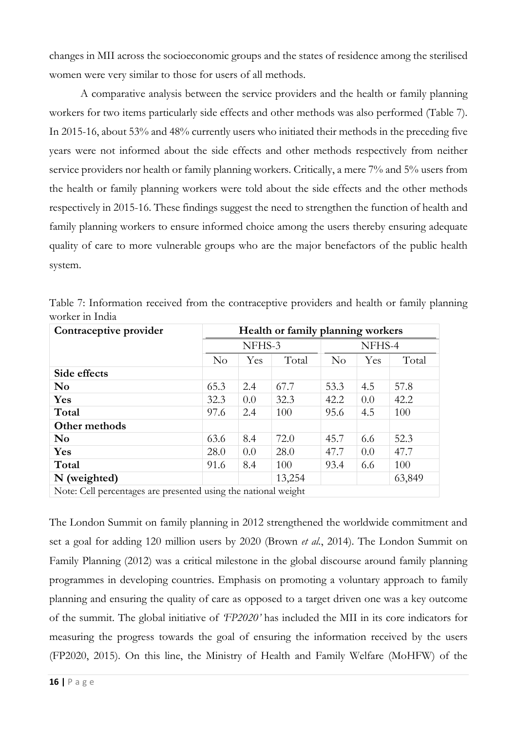changes in MII across the socioeconomic groups and the states of residence among the sterilised women were very similar to those for users of all methods.

A comparative analysis between the service providers and the health or family planning workers for two items particularly side effects and other methods was also performed (Table 7). In 2015-16, about 53% and 48% currently users who initiated their methods in the preceding five years were not informed about the side effects and other methods respectively from neither service providers nor health or family planning workers. Critically, a mere 7% and 5% users from the health or family planning workers were told about the side effects and the other methods respectively in 2015-16. These findings suggest the need to strengthen the function of health and family planning workers to ensure informed choice among the users thereby ensuring adequate quality of care to more vulnerable groups who are the major benefactors of the public health system.

| Contraceptive provider                                         | Health or family planning workers |        |        |          |        |        |  |
|----------------------------------------------------------------|-----------------------------------|--------|--------|----------|--------|--------|--|
|                                                                |                                   | NFHS-3 |        |          | NFHS-4 |        |  |
|                                                                | $\rm No$                          | Yes    | Total  | $\rm No$ | Yes    | Total  |  |
| Side effects                                                   |                                   |        |        |          |        |        |  |
| N <sub>0</sub>                                                 | 65.3                              | 2.4    | 67.7   | 53.3     | 4.5    | 57.8   |  |
| <b>Yes</b>                                                     | 32.3                              | 0.0    | 32.3   | 42.2     | 0.0    | 42.2   |  |
| Total                                                          | 97.6                              | 2.4    | 100    | 95.6     | 4.5    | 100    |  |
| Other methods                                                  |                                   |        |        |          |        |        |  |
| N <sub>0</sub>                                                 | 63.6                              | 8.4    | 72.0   | 45.7     | 6.6    | 52.3   |  |
| Yes                                                            | 28.0                              | 0.0    | 28.0   | 47.7     | 0.0    | 47.7   |  |
| Total                                                          | 91.6                              | 8.4    | 100    | 93.4     | 6.6    | 100    |  |
| N (weighted)                                                   |                                   |        | 13,254 |          |        | 63,849 |  |
| Note: Cell percentages are presented using the national weight |                                   |        |        |          |        |        |  |

Table 7: Information received from the contraceptive providers and health or family planning worker in India

The London Summit on family planning in 2012 strengthened the worldwide commitment and set a goal for adding 120 million users by 2020 (Brown *et al.*, 2014). The London Summit on Family Planning (2012) was a critical milestone in the global discourse around family planning programmes in developing countries. Emphasis on promoting a voluntary approach to family planning and ensuring the quality of care as opposed to a target driven one was a key outcome of the summit. The global initiative of *'FP2020'* has included the MII in its core indicators for measuring the progress towards the goal of ensuring the information received by the users (FP2020, 2015). On this line, the Ministry of Health and Family Welfare (MoHFW) of the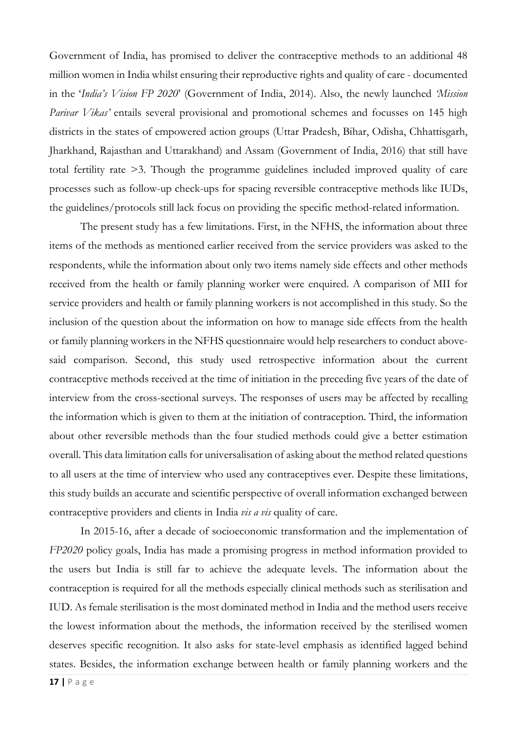Government of India, has promised to deliver the contraceptive methods to an additional 48 million women in India whilst ensuring their reproductive rights and quality of care - documented in the '*India's Vision FP 2020*' (Government of India, 2014). Also, the newly launched *'Mission Parivar Vikas'* entails several provisional and promotional schemes and focusses on 145 high districts in the states of empowered action groups (Uttar Pradesh, Bihar, Odisha, Chhattisgarh, Jharkhand, Rajasthan and Uttarakhand) and Assam (Government of India, 2016) that still have total fertility rate >3. Though the programme guidelines included improved quality of care processes such as follow-up check-ups for spacing reversible contraceptive methods like IUDs, the guidelines/protocols still lack focus on providing the specific method-related information.

The present study has a few limitations. First, in the NFHS, the information about three items of the methods as mentioned earlier received from the service providers was asked to the respondents, while the information about only two items namely side effects and other methods received from the health or family planning worker were enquired. A comparison of MII for service providers and health or family planning workers is not accomplished in this study. So the inclusion of the question about the information on how to manage side effects from the health or family planning workers in the NFHS questionnaire would help researchers to conduct abovesaid comparison. Second, this study used retrospective information about the current contraceptive methods received at the time of initiation in the preceding five years of the date of interview from the cross-sectional surveys. The responses of users may be affected by recalling the information which is given to them at the initiation of contraception. Third, the information about other reversible methods than the four studied methods could give a better estimation overall. This data limitation calls for universalisation of asking about the method related questions to all users at the time of interview who used any contraceptives ever. Despite these limitations, this study builds an accurate and scientific perspective of overall information exchanged between contraceptive providers and clients in India *vis a vis* quality of care.

In 2015-16, after a decade of socioeconomic transformation and the implementation of *FP2020* policy goals, India has made a promising progress in method information provided to the users but India is still far to achieve the adequate levels. The information about the contraception is required for all the methods especially clinical methods such as sterilisation and IUD. As female sterilisation is the most dominated method in India and the method users receive the lowest information about the methods, the information received by the sterilised women deserves specific recognition. It also asks for state-level emphasis as identified lagged behind states. Besides, the information exchange between health or family planning workers and the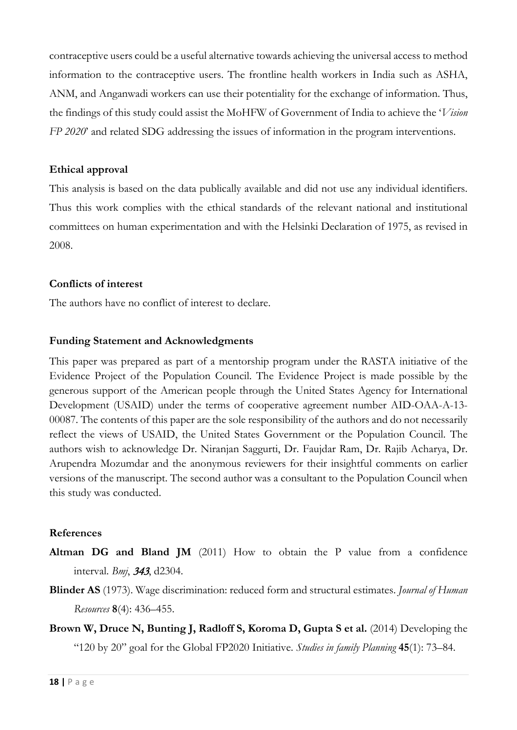contraceptive users could be a useful alternative towards achieving the universal access to method information to the contraceptive users. The frontline health workers in India such as ASHA, ANM, and Anganwadi workers can use their potentiality for the exchange of information. Thus, the findings of this study could assist the MoHFW of Government of India to achieve the '*Vision FP 2020*' and related SDG addressing the issues of information in the program interventions.

### **Ethical approval**

This analysis is based on the data publically available and did not use any individual identifiers. Thus this work complies with the ethical standards of the relevant national and institutional committees on human experimentation and with the Helsinki Declaration of 1975, as revised in 2008.

#### **Conflicts of interest**

The authors have no conflict of interest to declare.

### **Funding Statement and Acknowledgments**

This paper was prepared as part of a mentorship program under the RASTA initiative of the Evidence Project of the Population Council. The Evidence Project is made possible by the generous support of the American people through the United States Agency for International Development (USAID) under the terms of cooperative agreement number AID-OAA-A-13- 00087. The contents of this paper are the sole responsibility of the authors and do not necessarily reflect the views of USAID, the United States Government or the Population Council. The authors wish to acknowledge Dr. Niranjan Saggurti, Dr. Faujdar Ram, Dr. Rajib Acharya, Dr. Arupendra Mozumdar and the anonymous reviewers for their insightful comments on earlier versions of the manuscript. The second author was a consultant to the Population Council when this study was conducted.

#### **References**

- **Altman DG and Bland JM** (2011) How to obtain the P value from a confidence interval. *Bmj*, <sup>343</sup>, d2304.
- **Blinder AS** (1973). Wage discrimination: reduced form and structural estimates. *Journal of Human Resources* **8**(4): 436–455.
- **Brown W, Druce N, Bunting J, Radloff S, Koroma D, Gupta S et al.** (2014) Developing the "120 by 20" goal for the Global FP2020 Initiative. *Studies in family Planning* **45**(1): 73–84.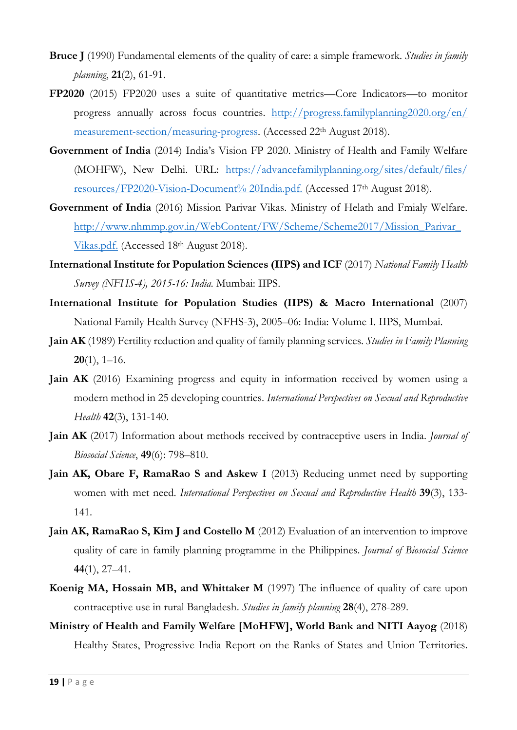- **Bruce J** (1990) Fundamental elements of the quality of care: a simple framework. *Studies in family planning*, **21**(2), 61-91.
- **FP2020** (2015) FP2020 uses a suite of quantitative metrics—Core Indicators—to monitor progress annually across focus countries. [http://progress.familyplanning2020.org/en/](http://progress.familyplanning2020.org/en/%20measurement-section/measuring-progress) [measurement-section/measuring-progress.](http://progress.familyplanning2020.org/en/%20measurement-section/measuring-progress) (Accessed 22<sup>th</sup> August 2018).
- **Government of India** (2014) India's Vision FP 2020. Ministry of Health and Family Welfare (MOHFW), New Delhi. URL: <https://advancefamilyplanning.org/sites/default/files/> resources/FP2020-Vision-Document% 20India.pdf. (Accessed 17th August 2018).
- **Government of India** (2016) Mission Parivar Vikas. Ministry of Helath and Fmialy Welfare. [http://www.nhmmp.gov.in/WebContent/FW/Scheme/Scheme2017/Mission\\_Parivar\\_](http://www.nhmmp.gov.in/WebContent/FW/Scheme/Scheme2017/Mission_Parivar_Vikas.pdf) [Vikas.pdf.](http://www.nhmmp.gov.in/WebContent/FW/Scheme/Scheme2017/Mission_Parivar_Vikas.pdf) (Accessed 18th August 2018).
- **International Institute for Population Sciences (IIPS) and ICF** (2017) *National Family Health Survey (NFHS-4), 2015-16: India.* Mumbai: IIPS.
- **International Institute for Population Studies (IIPS) & Macro International** (2007) National Family Health Survey (NFHS-3), 2005–06: India: Volume I. IIPS, Mumbai.
- **Jain AK** (1989) Fertility reduction and quality of family planning services. *Studies in Family Planning* **20**(1), 1–16.
- **Jain AK** (2016) Examining progress and equity in information received by women using a modern method in 25 developing countries. *International Perspectives on Sexual and Reproductive Health* **42**(3), 131-140.
- **Jain AK** (2017) Information about methods received by contraceptive users in India. *Journal of Biosocial Science*, **49**(6): 798–810.
- **Jain AK, Obare F, RamaRao S and Askew I** (2013) Reducing unmet need by supporting women with met need. *International Perspectives on Sexual and Reproductive Health* **39**(3), 133- 141.
- **Jain AK, RamaRao S, Kim J and Costello M** (2012) Evaluation of an intervention to improve quality of care in family planning programme in the Philippines. *Journal of Biosocial Science* **44**(1), 27–41.
- **Koenig MA, Hossain MB, and Whittaker M** (1997) The influence of quality of care upon contraceptive use in rural Bangladesh. *Studies in family planning* **28**(4), 278-289.
- **Ministry of Health and Family Welfare [MoHFW], World Bank and NITI Aayog** (2018) Healthy States, Progressive India Report on the Ranks of States and Union Territories.